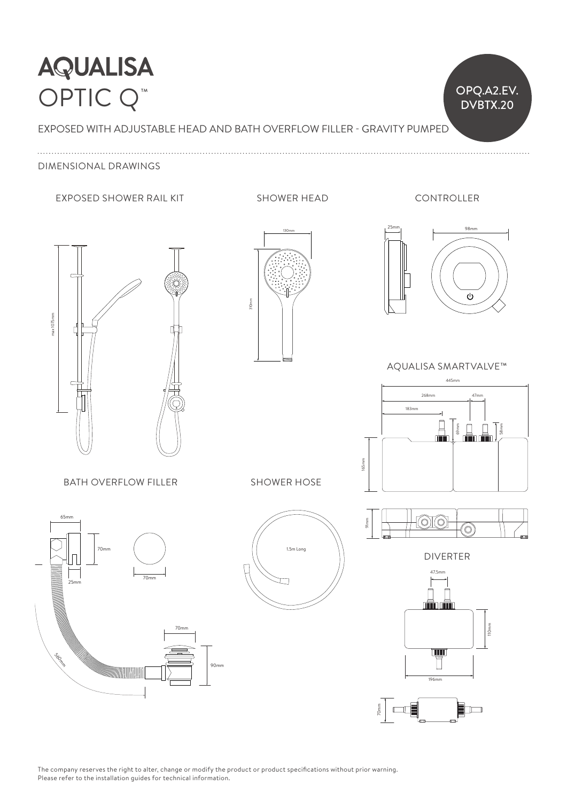## **AQUALISA** OPTIC Q<sup>™</sup>

EXPOSED WITH ADJUSTABLE HEAD AND BATH OVERFLOW FILLER - GRAVITY PUMPED

### DIMENSIONAL DRAWINGS

#### EXPOSED SHOWER RAIL KIT SHOWER HEAD

CONTROLLER

 $O PQ.A2.EV.$ 

DVBTX.20











AQUALISA SMARTVALVE™







SHOWER HOSE



DIVERTER



70mm